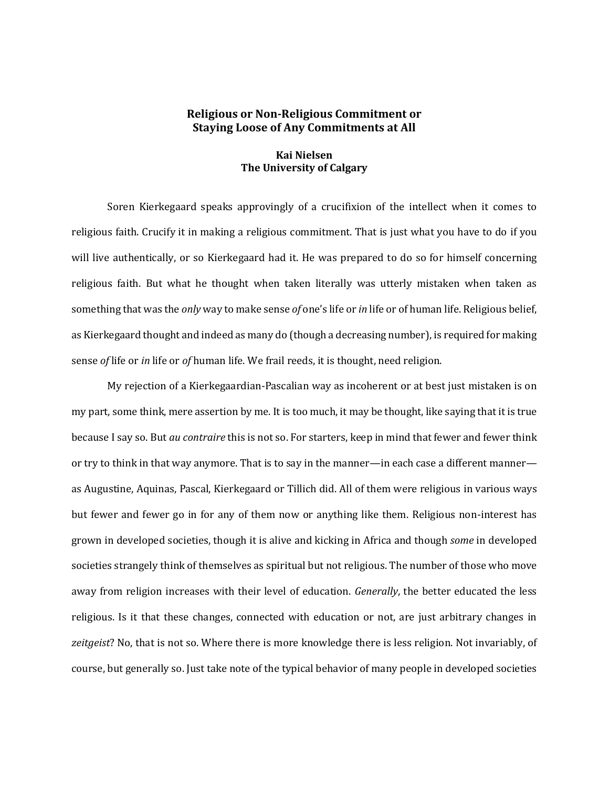## **Religious or Non-Religious Commitment or Staying Loose of Any Commitments at All**

## **Kai Nielsen The University of Calgary**

Soren Kierkegaard speaks approvingly of a crucifixion of the intellect when it comes to religious faith. Crucify it in making a religious commitment. That is just what you have to do if you will live authentically, or so Kierkegaard had it. He was prepared to do so for himself concerning religious faith. But what he thought when taken literally was utterly mistaken when taken as something that was the *only* way to make sense *of* one's life or *in* life or of human life. Religious belief, as Kierkegaard thought and indeed as many do (though a decreasing number), is required for making sense *of* life or *in* life or *of* human life. We frail reeds, it is thought, need religion.

My rejection of a Kierkegaardian-Pascalian way as incoherent or at best just mistaken is on my part, some think, mere assertion by me. It is too much, it may be thought, like saying that it is true because I say so. But *au contraire* this is not so. For starters, keep in mind that fewer and fewer think or try to think in that way anymore. That is to say in the manner—in each case a different manner as Augustine, Aquinas, Pascal, Kierkegaard or Tillich did. All of them were religious in various ways but fewer and fewer go in for any of them now or anything like them. Religious non-interest has grown in developed societies, though it is alive and kicking in Africa and though *some* in developed societies strangely think of themselves as spiritual but not religious. The number of those who move away from religion increases with their level of education. *Generally*, the better educated the less religious. Is it that these changes, connected with education or not, are just arbitrary changes in *zeitgeist*? No, that is not so. Where there is more knowledge there is less religion. Not invariably, of course, but generally so. Just take note of the typical behavior of many people in developed societies